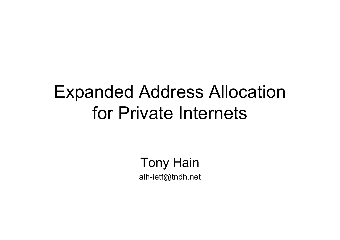## Expanded Address Allocation for Private Internets

Tony Hain alh-ietf@tndh.net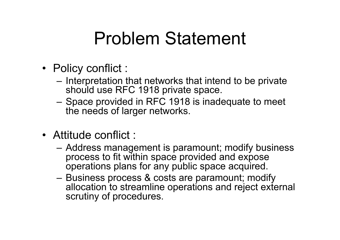### Problem Statement

- Policy conflict :
	- Interpretation that networks that intend to be private should use RFC 1918 private space.
	- Space provided in RFC 1918 is inadequate to meet the needs of larger networks.
- Attitude conflict :
	- Address management is paramount; modify business process to fit within space provided and expose operations plans for any public space acquired.
	- Business process & costs are paramount; modify allocation to streamline operations and reject external scrutiny of procedures.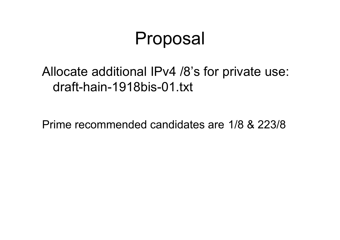### Proposal

#### Allocate additional IPv4 /8's for private use: draft-hain-1918bis-01.txt

Prime recommended candidates are 1/8 & 223/8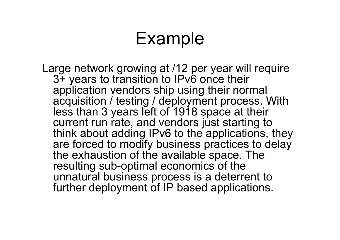# Example

Large network growing at /12 per year will require 3+ years to transition to IPv6 once their application vendors ship using their normal acquisition / testing / deployment process. With less than 3 years left of 1918 space at their current run rate, and vendors just starting to think about adding IPv6 to the applications, they are forced to modify business practices to delay the exhaustion of the available space. The resulting sub-optimal economics of the unnatural business process is a deterrent to further deployment of IP based applications.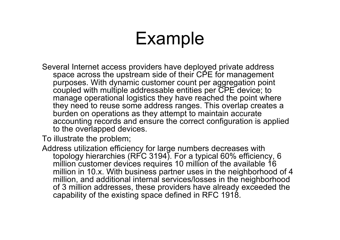# Example

Several Internet access providers have deployed private address space across the upstream side of their CPE for management purposes. With dynamic customer count per aggregation point coupled with multiple addressable entities per CPE device; to manage operational logistics they have reached the point where they need to reuse some address ranges. This overlap creates a burden on operations as they attempt to maintain accurate accounting records and ensure the correct configuration is applied to the overlapped devices.

To illustrate the problem;

Address utilization efficiency for large numbers decreases with topology hierarchies (RFC 3194). For a typical 60% efficiency, 6 million customer devices requires 10 million of the available 16 million in 10.x. With business partner uses in the neighborhood of 4 million, and additional internal services/losses in the neighborhood of 3 million addresses, these providers have already exceeded the capability of the existing space defined in RFC 1918.